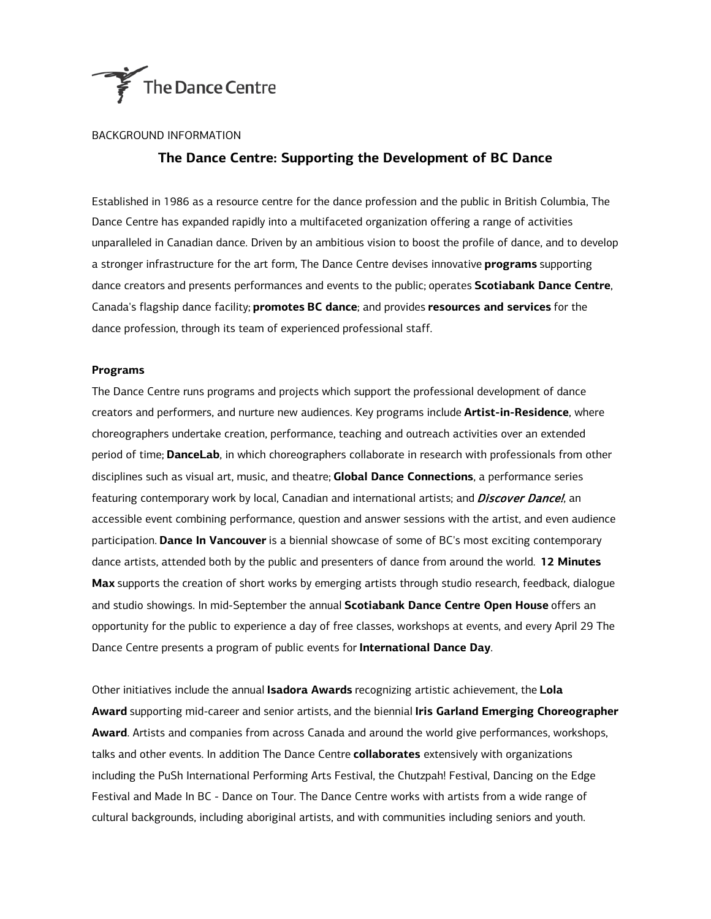

## BACKGROUND INFORMATION

# **The Dance Centre: Supporting the Development of BC Dance**

Established in 1986 as a resource centre for the dance profession and the public in British Columbia, The Dance Centre has expanded rapidly into a multifaceted organization offering a range of activities unparalleled in Canadian dance. Driven by an ambitious vision to boost the profile of dance, and to develop a stronger infrastructure for the art form, The Dance Centre devises innovative **programs** supporting dance creators and presents performances and events to the public; operates **Scotiabank Dance Centre**, Canada's flagship dance facility; **promotes BC dance**; and provides **resources and services** for the dance profession, through its team of experienced professional staff.

### **Programs**

The Dance Centre runs programs and projects which support the professional development of dance creators and performers, and nurture new audiences. Key programs include **Artist-in-Residence**, where choreographers undertake creation, performance, teaching and outreach activities over an extended period of time; **DanceLab**, in which choreographers collaborate in research with professionals from other disciplines such as visual art, music, and theatre; **Global Dance Connections**, a performance series featuring contemporary work by local, Canadian and international artists; and *Discover Dancel*, an accessible event combining performance, question and answer sessions with the artist, and even audience participation. **Dance In Vancouver** is a biennial showcase of some of BC's most exciting contemporary dance artists, attended both by the public and presenters of dance from around the world. **12 Minutes Max** supports the creation of short works by emerging artists through studio research, feedback, dialogue and studio showings. In mid-September the annual **Scotiabank Dance Centre Open House** offers an opportunity for the public to experience a day of free classes, workshops at events, and every April 29 The Dance Centre presents a program of public events for **International Dance Day**.

Other initiatives include the annual **Isadora Awards** recognizing artistic achievement, the **Lola Award** supporting mid-career and senior artists, and the biennial **Iris Garland Emerging Choreographer Award**. Artists and companies from across Canada and around the world give performances, workshops, talks and other events. In addition The Dance Centre **collaborates** extensively with organizations including the PuSh International Performing Arts Festival, the Chutzpah! Festival, Dancing on the Edge Festival and Made In BC - Dance on Tour. The Dance Centre works with artists from a wide range of cultural backgrounds, including aboriginal artists, and with communities including seniors and youth.